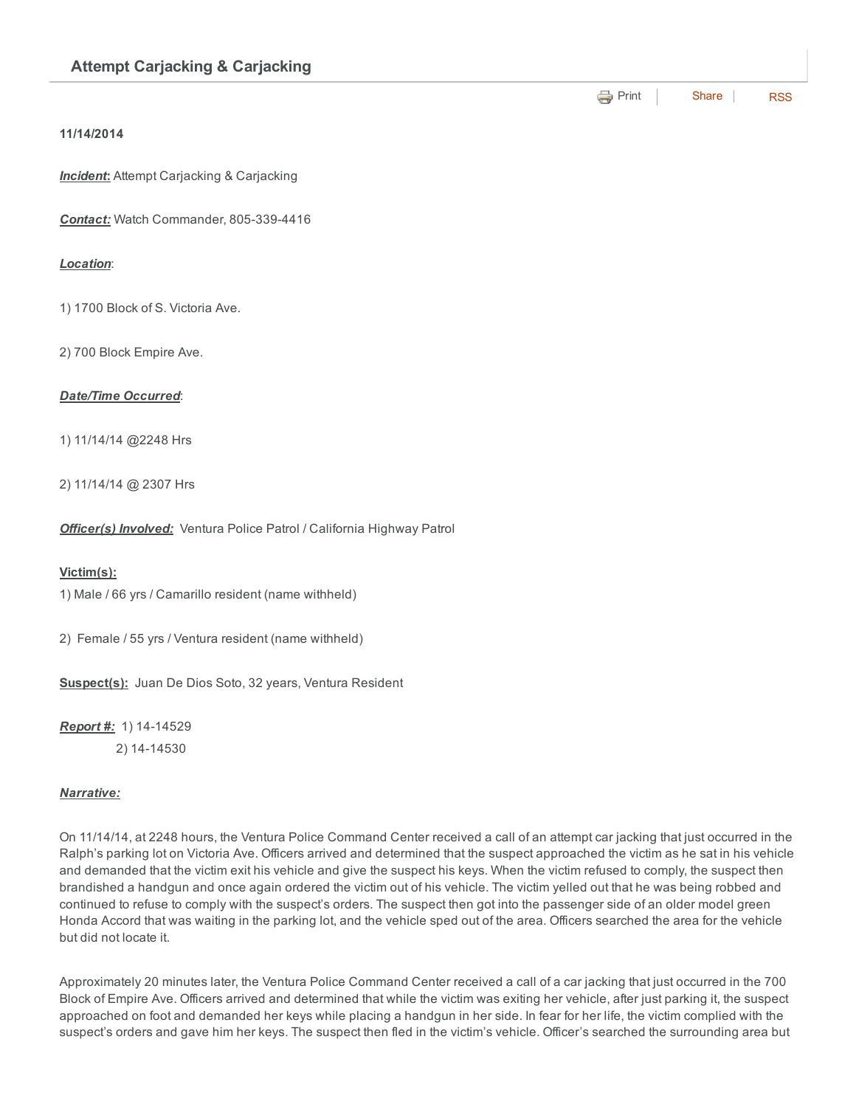### 11/14/2014

**Incident:** Attempt Carjacking & Carjacking

**Contact:** Watch Commander, 805-339-4416

## *Location*:

1) 1700 Block of S. Victoria Ave.

2) 700 Block Empire Ave.

# *Date/Time Occurred*:

1) 11/14/14 @2248 Hrs

2) 11/14/14 @ 2307 Hrs

*Officer(s) Involved:* Ventura Police Patrol / California Highway Patrol

### Victim(s):

1) Male / 66 yrs / Camarillo resident (name withheld)

2) Female / 55 yrs / Ventura resident (name withheld)

Suspect(s): Juan De Dios Soto, 32 years, Ventura Resident

**Report #:** 1) 14-14529 2) 14-14530

### *Narrative:*

On 11/14/14, at 2248 hours, the Ventura Police Command Center received a call of an attempt car jacking that just occurred in the Ralph's parking lot on Victoria Ave. Officers arrived and determined that the suspect approached the victim as he sat in his vehicle and demanded that the victim exit his vehicle and give the suspect his keys. When the victim refused to comply, the suspect then brandished a handgun and once again ordered the victim out of his vehicle. The victim yelled out that he was being robbed and continued to refuse to comply with the suspect's orders. The suspect then got into the passenger side of an older model green Honda Accord that was waiting in the parking lot, and the vehicle sped out of the area. Officers searched the area for the vehicle but did not locate it.

**e** [Print](http://www.cityofventura.net/print/16245) | [Share](javascript:void(0)) | [RSS](http://www.cityofventura.net/feed/press_release/rss.xml)

Approximately 20 minutes later, the Ventura Police Command Center received a call of a car jacking that just occurred in the 700 Block of Empire Ave. Officers arrived and determined that while the victim was exiting her vehicle, after just parking it, the suspect approached on foot and demanded her keys while placing a handgun in her side. In fear for her life, the victim complied with the suspect's orders and gave him her keys. The suspect then fled in the victim's vehicle. Officer's searched the surrounding area but